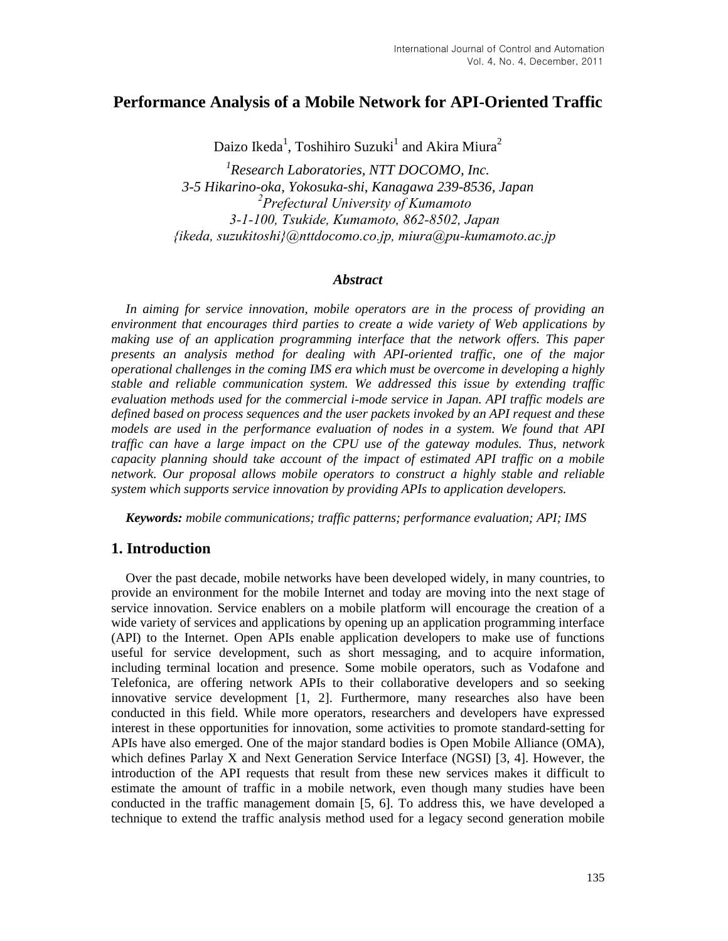# **Performance Analysis of a Mobile Network for API-Oriented Traffic**

Daizo Ikeda<sup>1</sup>, Toshihiro Suzuki<sup>1</sup> and Akira Miura<sup>2</sup>

*1 Research Laboratories, NTT DOCOMO, Inc. 3-5 Hikarino-oka, Yokosuka-shi, Kanagawa 239-8536, Japan 2 Prefectural University of Kumamoto 3-1-100, Tsukide, Kumamoto, 862-8502, Japan {ikeda, [suzukitoshi}@nttdocomo.co.jp,](mailto:suzukitoshi%7D@nttdocomo.co.jp) miura@pu-kumamoto.ac.jp*

#### *Abstract*

In aiming for service innovation, mobile operators are in the process of providing an *environment that encourages third parties to create a wide variety of Web applications by making use of an application programming interface that the network offers. This paper presents an analysis method for dealing with API-oriented traffic, one of the major operational challenges in the coming IMS era which must be overcome in developing a highly stable and reliable communication system. We addressed this issue by extending traffic evaluation methods used for the commercial i-mode service in Japan. API traffic models are defined based on process sequences and the user packets invoked by an API request and these models are used in the performance evaluation of nodes in a system. We found that API traffic can have a large impact on the CPU use of the gateway modules. Thus, network capacity planning should take account of the impact of estimated API traffic on a mobile network. Our proposal allows mobile operators to construct a highly stable and reliable system which supports service innovation by providing APIs to application developers.*

*Keywords: mobile communications; traffic patterns; performance evaluation; API; IMS*

## **1. Introduction**

Over the past decade, mobile networks have been developed widely, in many countries, to provide an environment for the mobile Internet and today are moving into the next stage of service innovation. Service enablers on a mobile platform will encourage the creation of a wide variety of services and applications by opening up an application programming interface (API) to the Internet. Open APIs enable application developers to make use of functions useful for service development, such as short messaging, and to acquire information, including terminal location and presence. Some mobile operators, such as Vodafone and Telefonica, are offering network APIs to their collaborative developers and so seeking innovative service development [1, 2]. Furthermore, many researches also have been conducted in this field. While more operators, researchers and developers have expressed interest in these opportunities for innovation, some activities to promote standard-setting for APIs have also emerged. One of the major standard bodies is Open Mobile Alliance (OMA), which defines Parlay X and Next Generation Service Interface (NGSI) [3, 4]. However, the introduction of the API requests that result from these new services makes it difficult to estimate the amount of traffic in a mobile network, even though many studies have been conducted in the traffic management domain [5, 6]. To address this, we have developed a technique to extend the traffic analysis method used for a legacy second generation mobile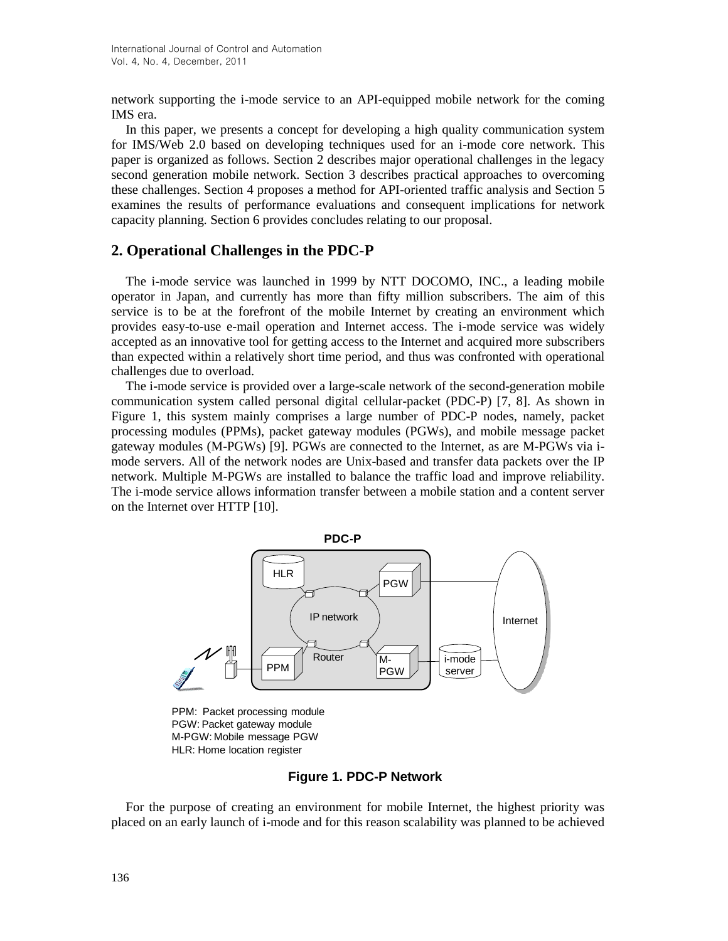network supporting the i-mode service to an API-equipped mobile network for the coming IMS era.

In this paper, we presents a concept for developing a high quality communication system for IMS/Web 2.0 based on developing techniques used for an i-mode core network. This paper is organized as follows. Section 2 describes major operational challenges in the legacy second generation mobile network. Section 3 describes practical approaches to overcoming these challenges. Section 4 proposes a method for API-oriented traffic analysis and Section 5 examines the results of performance evaluations and consequent implications for network capacity planning. Section 6 provides concludes relating to our proposal.

## **2. Operational Challenges in the PDC-P**

The i-mode service was launched in 1999 by NTT DOCOMO, INC., a leading mobile operator in Japan, and currently has more than fifty million subscribers. The aim of this service is to be at the forefront of the mobile Internet by creating an environment which provides easy-to-use e-mail operation and Internet access. The i-mode service was widely accepted as an innovative tool for getting access to the Internet and acquired more subscribers than expected within a relatively short time period, and thus was confronted with operational challenges due to overload.

The i-mode service is provided over a large-scale network of the second-generation mobile communication system called personal digital cellular-packet (PDC-P) [7, 8]. As shown in Figure 1, this system mainly comprises a large number of PDC-P nodes, namely, packet processing modules (PPMs), packet gateway modules (PGWs), and mobile message packet gateway modules (M-PGWs) [9]. PGWs are connected to the Internet, as are M-PGWs via imode servers. All of the network nodes are Unix-based and transfer data packets over the IP network. Multiple M-PGWs are installed to balance the traffic load and improve reliability. The i-mode service allows information transfer between a mobile station and a content server on the Internet over HTTP [10].



PPM: Packet processing module PGW: Packet gateway module M-PGW: Mobile message PGW HLR: Home location register

### **Figure 1. PDC-P Network**

For the purpose of creating an environment for mobile Internet, the highest priority was placed on an early launch of i-mode and for this reason scalability was planned to be achieved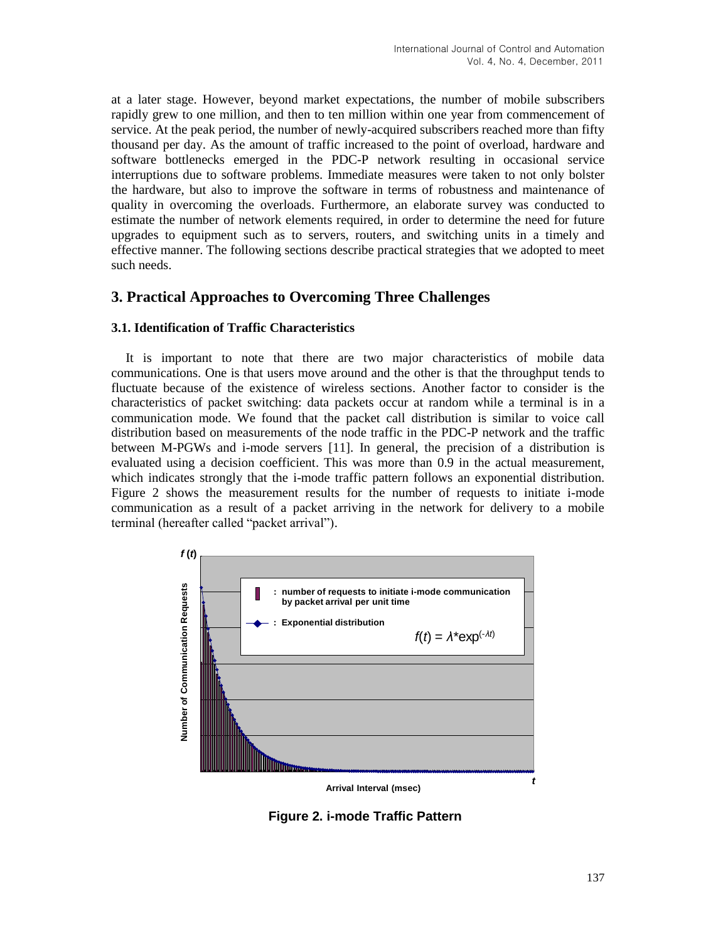at a later stage. However, beyond market expectations, the number of mobile subscribers rapidly grew to one million, and then to ten million within one year from commencement of service. At the peak period, the number of newly-acquired subscribers reached more than fifty thousand per day. As the amount of traffic increased to the point of overload, hardware and software bottlenecks emerged in the PDC-P network resulting in occasional service interruptions due to software problems. Immediate measures were taken to not only bolster the hardware, but also to improve the software in terms of robustness and maintenance of quality in overcoming the overloads. Furthermore, an elaborate survey was conducted to estimate the number of network elements required, in order to determine the need for future upgrades to equipment such as to servers, routers, and switching units in a timely and effective manner. The following sections describe practical strategies that we adopted to meet such needs.

# **3. Practical Approaches to Overcoming Three Challenges**

#### **3.1. Identification of Traffic Characteristics**

It is important to note that there are two major characteristics of mobile data communications. One is that users move around and the other is that the throughput tends to fluctuate because of the existence of wireless sections. Another factor to consider is the characteristics of packet switching: data packets occur at random while a terminal is in a communication mode. We found that the packet call distribution is similar to voice call distribution based on measurements of the node traffic in the PDC-P network and the traffic between M-PGWs and i-mode servers [11]. In general, the precision of a distribution is evaluated using a decision coefficient. This was more than 0.9 in the actual measurement, which indicates strongly that the i-mode traffic pattern follows an exponential distribution. Figure 2 shows the measurement results for the number of requests to initiate i-mode communication as a result of a packet arriving in the network for delivery to a mobile terminal (hereafter called "packet arrival").



**Figure 2. i-mode Traffic Pattern**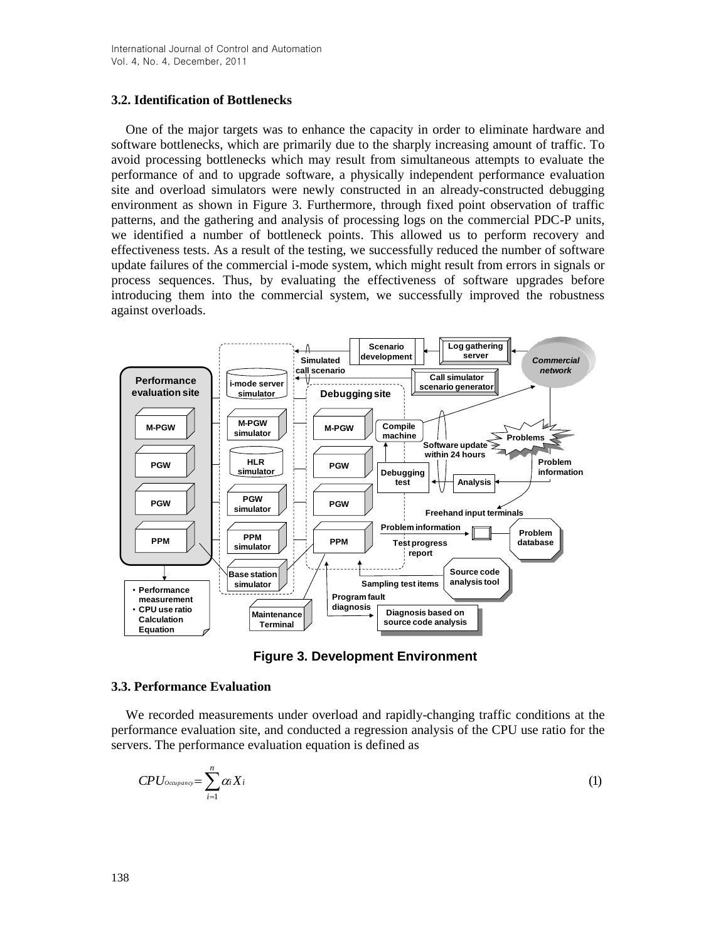#### **3.2. Identification of Bottlenecks**

One of the major targets was to enhance the capacity in order to eliminate hardware and software bottlenecks, which are primarily due to the sharply increasing amount of traffic. To avoid processing bottlenecks which may result from simultaneous attempts to evaluate the performance of and to upgrade software, a physically independent performance evaluation site and overload simulators were newly constructed in an already-constructed debugging environment as shown in Figure 3. Furthermore, through fixed point observation of traffic patterns, and the gathering and analysis of processing logs on the commercial PDC-P units, we identified a number of bottleneck points. This allowed us to perform recovery and effectiveness tests. As a result of the testing, we successfully reduced the number of software update failures of the commercial i-mode system, which might result from errors in signals or process sequences. Thus, by evaluating the effectiveness of software upgrades before introducing them into the commercial system, we successfully improved the robustness against overloads.



**Figure 3. Development Environment**

#### **3.3. Performance Evaluation**

We recorded measurements under overload and rapidly-changing traffic conditions at the performance evaluation site, and conducted a regression analysis of the CPU use ratio for the servers. The performance evaluation equation is defined as

$$
CPU_{ocupano} = \sum_{i=1}^{n} \alpha_i X_i
$$
 (1)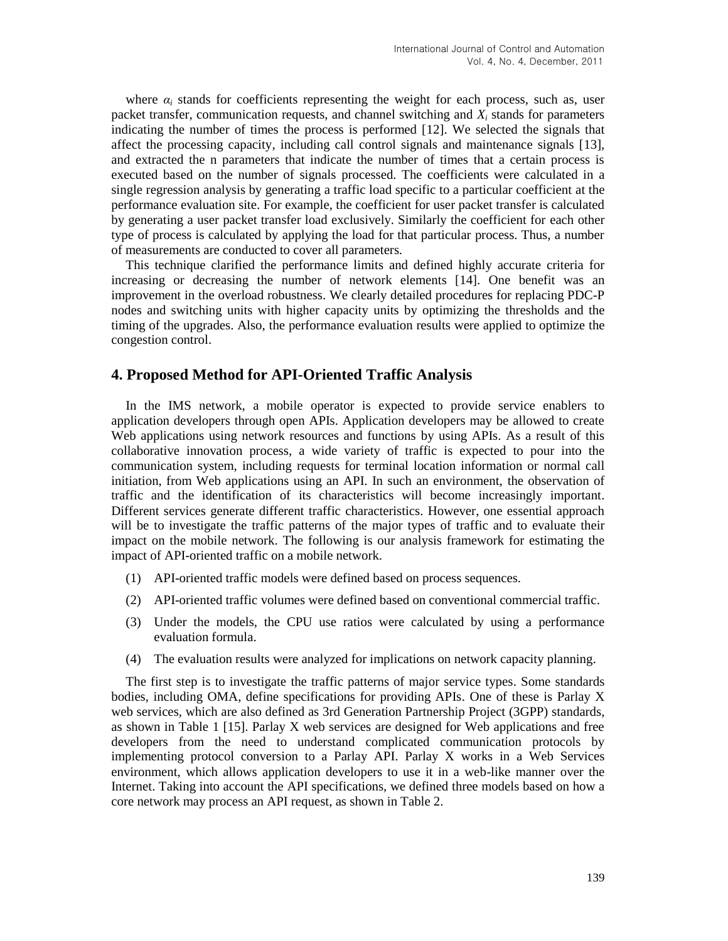where  $\alpha_i$  stands for coefficients representing the weight for each process, such as, user packet transfer, communication requests, and channel switching and  $X_i$  stands for parameters indicating the number of times the process is performed [12]. We selected the signals that affect the processing capacity, including call control signals and maintenance signals [13], and extracted the n parameters that indicate the number of times that a certain process is executed based on the number of signals processed. The coefficients were calculated in a single regression analysis by generating a traffic load specific to a particular coefficient at the performance evaluation site. For example, the coefficient for user packet transfer is calculated by generating a user packet transfer load exclusively. Similarly the coefficient for each other type of process is calculated by applying the load for that particular process. Thus, a number of measurements are conducted to cover all parameters.

This technique clarified the performance limits and defined highly accurate criteria for increasing or decreasing the number of network elements [14]. One benefit was an improvement in the overload robustness. We clearly detailed procedures for replacing PDC-P nodes and switching units with higher capacity units by optimizing the thresholds and the timing of the upgrades. Also, the performance evaluation results were applied to optimize the congestion control.

## **4. Proposed Method for API-Oriented Traffic Analysis**

In the IMS network, a mobile operator is expected to provide service enablers to application developers through open APIs. Application developers may be allowed to create Web applications using network resources and functions by using APIs. As a result of this collaborative innovation process, a wide variety of traffic is expected to pour into the communication system, including requests for terminal location information or normal call initiation, from Web applications using an API. In such an environment, the observation of traffic and the identification of its characteristics will become increasingly important. Different services generate different traffic characteristics. However, one essential approach will be to investigate the traffic patterns of the major types of traffic and to evaluate their impact on the mobile network. The following is our analysis framework for estimating the impact of API-oriented traffic on a mobile network.

- (1) API-oriented traffic models were defined based on process sequences.
- (2) API-oriented traffic volumes were defined based on conventional commercial traffic.
- (3) Under the models, the CPU use ratios were calculated by using a performance evaluation formula.
- (4) The evaluation results were analyzed for implications on network capacity planning.

The first step is to investigate the traffic patterns of major service types. Some standards bodies, including OMA, define specifications for providing APIs. One of these is Parlay X web services, which are also defined as 3rd Generation Partnership Project (3GPP) standards, as shown in Table 1 [15]. Parlay X web services are designed for Web applications and free developers from the need to understand complicated communication protocols by implementing protocol conversion to a Parlay API. Parlay X works in a Web Services environment, which allows application developers to use it in a web-like manner over the Internet. Taking into account the API specifications, we defined three models based on how a core network may process an API request, as shown in Table 2.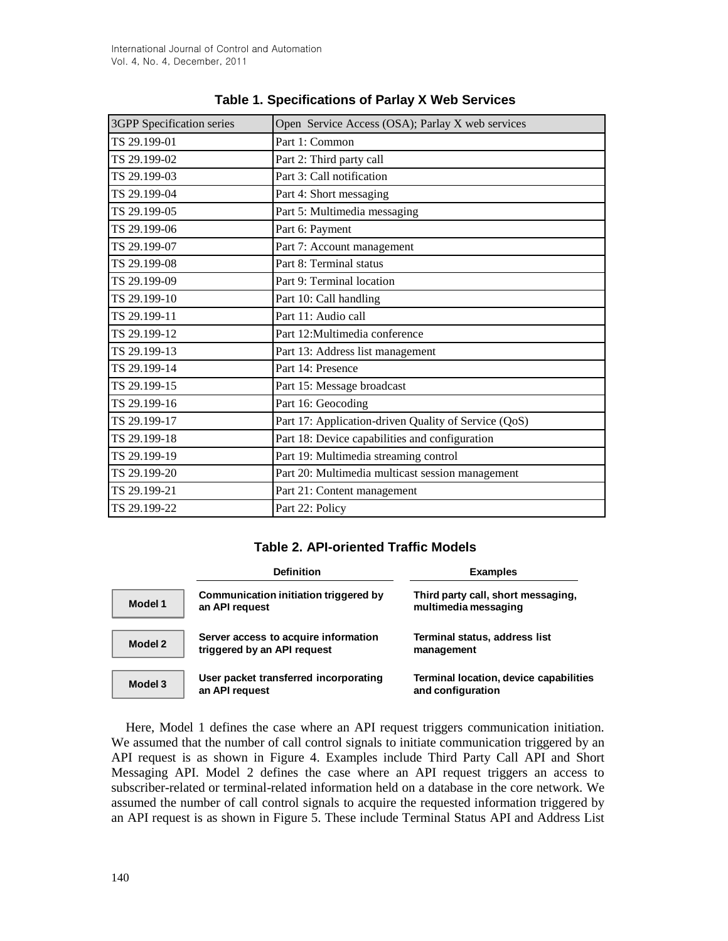| <b>3GPP</b> Specification series | Open Service Access (OSA); Parlay X web services     |  |
|----------------------------------|------------------------------------------------------|--|
| TS 29.199-01                     | Part 1: Common                                       |  |
| TS 29.199-02                     | Part 2: Third party call                             |  |
| TS 29.199-03                     | Part 3: Call notification                            |  |
| TS 29.199-04                     | Part 4: Short messaging                              |  |
| TS 29.199-05                     | Part 5: Multimedia messaging                         |  |
| TS 29.199-06                     | Part 6: Payment                                      |  |
| TS 29.199-07                     | Part 7: Account management                           |  |
| TS 29.199-08                     | Part 8: Terminal status                              |  |
| TS 29.199-09                     | Part 9: Terminal location                            |  |
| TS 29.199-10                     | Part 10: Call handling                               |  |
| TS 29.199-11                     | Part 11: Audio call                                  |  |
| TS 29.199-12                     | Part 12: Multimedia conference                       |  |
| TS 29.199-13                     | Part 13: Address list management                     |  |
| TS 29.199-14                     | Part 14: Presence                                    |  |
| TS 29.199-15                     | Part 15: Message broadcast                           |  |
| TS 29.199-16                     | Part 16: Geocoding                                   |  |
| TS 29.199-17                     | Part 17: Application-driven Quality of Service (QoS) |  |
| TS 29.199-18                     | Part 18: Device capabilities and configuration       |  |
| TS 29.199-19                     | Part 19: Multimedia streaming control                |  |
| TS 29.199-20                     | Part 20: Multimedia multicast session management     |  |
| TS 29.199-21                     | Part 21: Content management                          |  |
| TS 29.199-22                     | Part 22: Policy                                      |  |

## **Table 1. Specifications of Parlay X Web Services**

#### **Table 2. API-oriented Traffic Models**

|         | <b>Definition</b>                                                   | <b>Examples</b>                                             |
|---------|---------------------------------------------------------------------|-------------------------------------------------------------|
| Model 1 | Communication initiation triggered by<br>an API request             | Third party call, short messaging,<br>multimedia messaging  |
| Model 2 | Server access to acquire information<br>triggered by an API request | Terminal status, address list<br>management                 |
| Model 3 | User packet transferred incorporating<br>an API request             | Terminal location, device capabilities<br>and configuration |

Here, Model 1 defines the case where an API request triggers communication initiation. We assumed that the number of call control signals to initiate communication triggered by an API request is as shown in Figure 4. Examples include Third Party Call API and Short Messaging API. Model 2 defines the case where an API request triggers an access to subscriber-related or terminal-related information held on a database in the core network. We assumed the number of call control signals to acquire the requested information triggered by an API request is as shown in Figure 5. These include Terminal Status API and Address List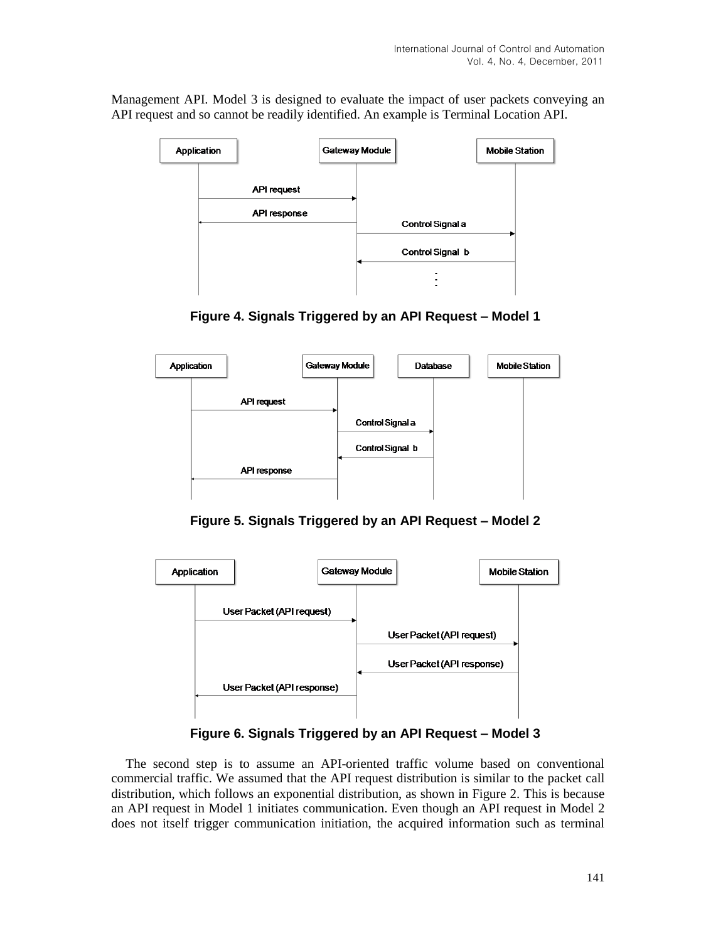Management API. Model 3 is designed to evaluate the impact of user packets conveying an API request and so cannot be readily identified. An example is Terminal Location API.







**Figure 5. Signals Triggered by an API Request – Model 2**



**Figure 6. Signals Triggered by an API Request – Model 3**

The second step is to assume an API-oriented traffic volume based on conventional commercial traffic. We assumed that the API request distribution is similar to the packet call distribution, which follows an exponential distribution, as shown in Figure 2. This is because an API request in Model 1 initiates communication. Even though an API request in Model 2 does not itself trigger communication initiation, the acquired information such as terminal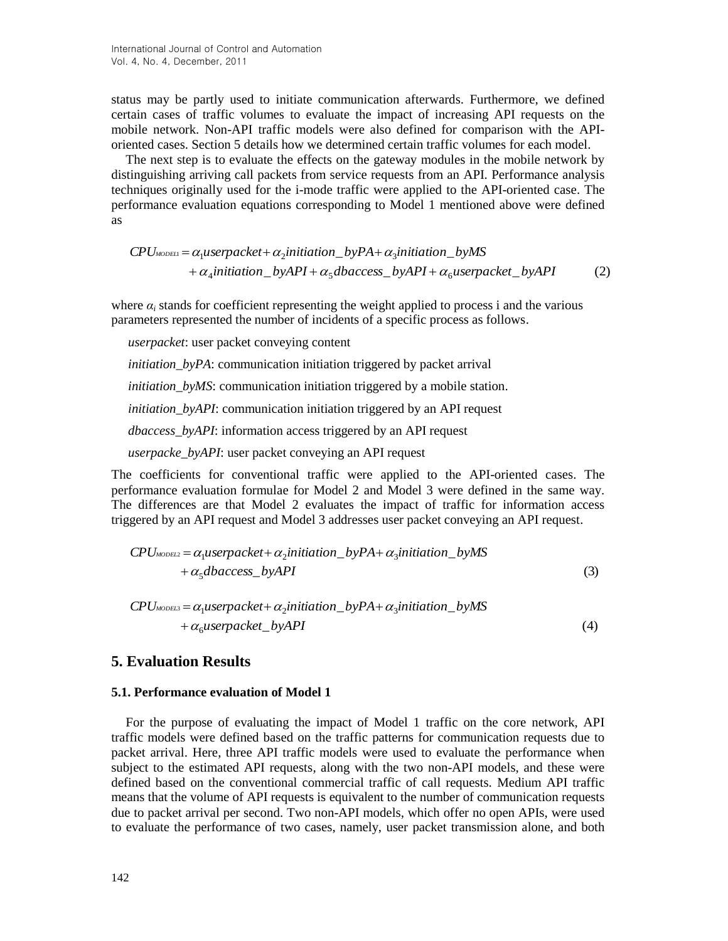status may be partly used to initiate communication afterwards. Furthermore, we defined certain cases of traffic volumes to evaluate the impact of increasing API requests on the mobile network. Non-API traffic models were also defined for comparison with the APIoriented cases. Section 5 details how we determined certain traffic volumes for each model.

The next step is to evaluate the effects on the gateway modules in the mobile network by distinguishing arriving call packets from service requests from an API. Performance analysis techniques originally used for the i-mode traffic were applied to the API-oriented case. The performance evaluation equations corresponding to Model 1 mentioned above were defined as

 $CPU_{\text{MODELI}} = \alpha_1 u \text{se} \text{spacket} + \alpha_2 \text{in} \text{itiation} \_ \text{by} \text{PA} + \alpha_3 \text{in} \text{itiation} \_ \text{by} \text{MS}$  $+\alpha_4$ initiation\_byAPI +  $\alpha_5$ dbaccess\_byAPI +  $\alpha_6$ userpacket\_byAPI (2)

where  $\alpha_i$  stands for coefficient representing the weight applied to process i and the various parameters represented the number of incidents of a specific process as follows.

*userpacket*: user packet conveying content

*initiation\_byPA*: communication initiation triggered by packet arrival

*initiation\_byMS*: communication initiation triggered by a mobile station.

*initiation byAPI*: communication initiation triggered by an API request

*dbaccess\_byAPI*: information access triggered by an API request

*userpacke\_byAPI*: user packet conveying an API request

The coefficients for conventional traffic were applied to the API-oriented cases. The performance evaluation formulae for Model 2 and Model 3 were defined in the same way. The differences are that Model 2 evaluates the impact of traffic for information access triggered by an API request and Model 3 addresses user packet conveying an API request.

$$
CPUMDBEL2 = \alpha_1 use \etaacket \alpha_k et + \alpha_2 initiation_b yPA + \alpha_3 initiation_b yMS + \alpha_5 dba \cdot \cos_b yAPI
$$
\n
$$
(3)
$$

 $CPU_{\text{MODEL3}} = \alpha_1 \mu \text{se}$  *rpacket* +  $\alpha_2$  *initiation* \_ *byPA*+ $\alpha_3$  *initiation* \_ *byMS*  $+\alpha_{6}$ *userpacket\_byAPI* (4)

## **5. Evaluation Results**

#### **5.1. Performance evaluation of Model 1**

For the purpose of evaluating the impact of Model 1 traffic on the core network, API traffic models were defined based on the traffic patterns for communication requests due to packet arrival. Here, three API traffic models were used to evaluate the performance when subject to the estimated API requests, along with the two non-API models, and these were defined based on the conventional commercial traffic of call requests. Medium API traffic means that the volume of API requests is equivalent to the number of communication requests due to packet arrival per second. Two non-API models, which offer no open APIs, were used to evaluate the performance of two cases, namely, user packet transmission alone, and both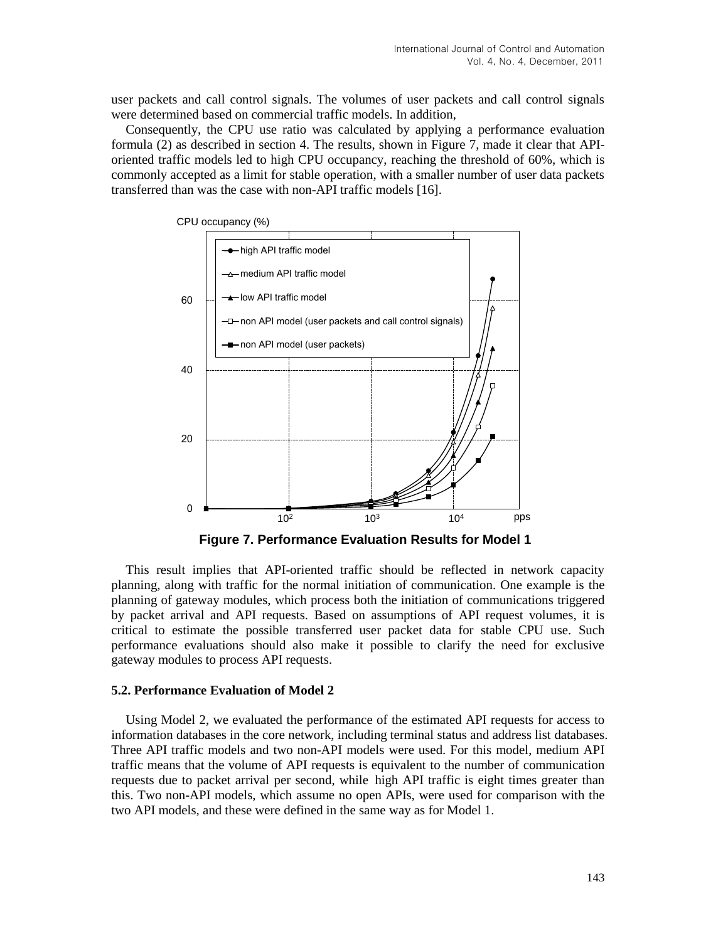user packets and call control signals. The volumes of user packets and call control signals were determined based on commercial traffic models. In addition,

Consequently, the CPU use ratio was calculated by applying a performance evaluation formula (2) as described in section 4. The results, shown in Figure 7, made it clear that APIoriented traffic models led to high CPU occupancy, reaching the threshold of 60%, which is commonly accepted as a limit for stable operation, with a smaller number of user data packets transferred than was the case with non-API traffic models [16].



**Figure 7. Performance Evaluation Results for Model 1**

This result implies that API-oriented traffic should be reflected in network capacity planning, along with traffic for the normal initiation of communication. One example is the planning of gateway modules, which process both the initiation of communications triggered by packet arrival and API requests. Based on assumptions of API request volumes, it is critical to estimate the possible transferred user packet data for stable CPU use. Such performance evaluations should also make it possible to clarify the need for exclusive gateway modules to process API requests.

#### **5.2. Performance Evaluation of Model 2**

Using Model 2, we evaluated the performance of the estimated API requests for access to information databases in the core network, including terminal status and address list databases. Three API traffic models and two non-API models were used. For this model, medium API traffic means that the volume of API requests is equivalent to the number of communication requests due to packet arrival per second, while high API traffic is eight times greater than this. Two non-API models, which assume no open APIs, were used for comparison with the two API models, and these were defined in the same way as for Model 1.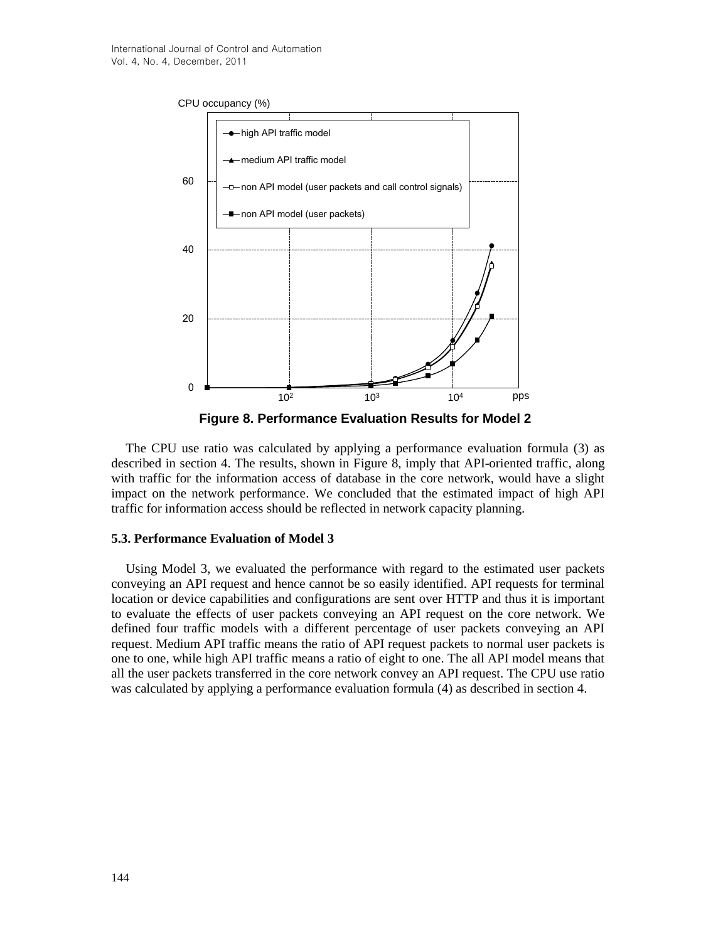

**Figure 8. Performance Evaluation Results for Model 2**

The CPU use ratio was calculated by applying a performance evaluation formula (3) as described in section 4. The results, shown in Figure 8, imply that API-oriented traffic, along with traffic for the information access of database in the core network, would have a slight impact on the network performance. We concluded that the estimated impact of high API traffic for information access should be reflected in network capacity planning.

#### **5.3. Performance Evaluation of Model 3**

Using Model 3, we evaluated the performance with regard to the estimated user packets conveying an API request and hence cannot be so easily identified. API requests for terminal location or device capabilities and configurations are sent over HTTP and thus it is important to evaluate the effects of user packets conveying an API request on the core network. We defined four traffic models with a different percentage of user packets conveying an API request. Medium API traffic means the ratio of API request packets to normal user packets is one to one, while high API traffic means a ratio of eight to one. The all API model means that all the user packets transferred in the core network convey an API request. The CPU use ratio was calculated by applying a performance evaluation formula (4) as described in section 4.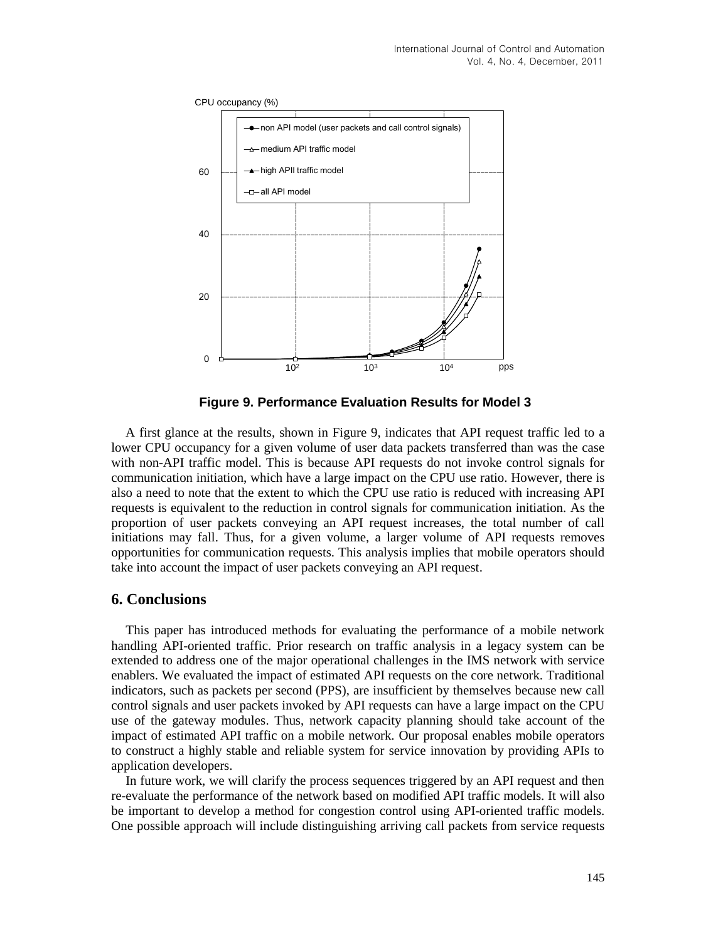

**Figure 9. Performance Evaluation Results for Model 3**

A first glance at the results, shown in Figure 9, indicates that API request traffic led to a lower CPU occupancy for a given volume of user data packets transferred than was the case with non-API traffic model. This is because API requests do not invoke control signals for communication initiation, which have a large impact on the CPU use ratio. However, there is also a need to note that the extent to which the CPU use ratio is reduced with increasing API requests is equivalent to the reduction in control signals for communication initiation. As the proportion of user packets conveying an API request increases, the total number of call initiations may fall. Thus, for a given volume, a larger volume of API requests removes opportunities for communication requests. This analysis implies that mobile operators should take into account the impact of user packets conveying an API request.

#### **6. Conclusions**

This paper has introduced methods for evaluating the performance of a mobile network handling API-oriented traffic. Prior research on traffic analysis in a legacy system can be extended to address one of the major operational challenges in the IMS network with service enablers. We evaluated the impact of estimated API requests on the core network. Traditional indicators, such as packets per second (PPS), are insufficient by themselves because new call control signals and user packets invoked by API requests can have a large impact on the CPU use of the gateway modules. Thus, network capacity planning should take account of the impact of estimated API traffic on a mobile network. Our proposal enables mobile operators to construct a highly stable and reliable system for service innovation by providing APIs to application developers.

In future work, we will clarify the process sequences triggered by an API request and then re-evaluate the performance of the network based on modified API traffic models. It will also be important to develop a method for congestion control using API-oriented traffic models. One possible approach will include distinguishing arriving call packets from service requests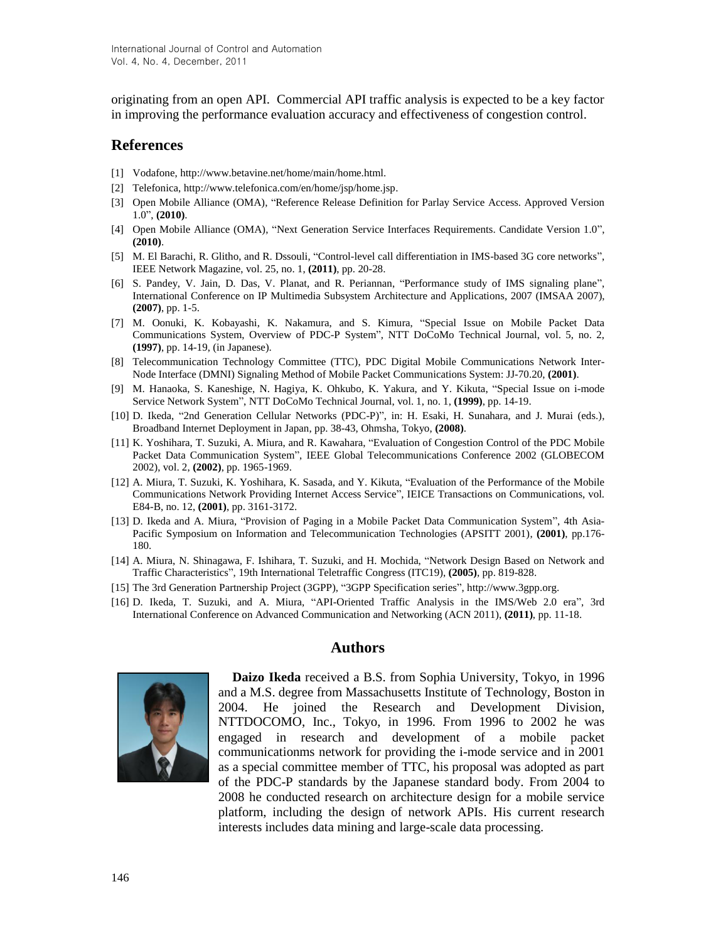originating from an open API. Commercial API traffic analysis is expected to be a key factor in improving the performance evaluation accuracy and effectiveness of congestion control.

#### **References**

- [1] Vodafone, http://www.betavine.net/home/main/home.html.
- [2] Telefonica, http://www.telefonica.com/en/home/jsp/home.jsp.
- [3] Open Mobile Alliance (OMA), "Reference Release Definition for Parlay Service Access. Approved Version 1.0", **(2010)**.
- [4] Open Mobile Alliance (OMA), "Next Generation Service Interfaces Requirements. Candidate Version 1.0", **(2010)**.
- [5] M. El Barachi, R. Glitho, and R. Dssouli, "Control-level call differentiation in IMS-based 3G core networks", IEEE Network Magazine, vol. 25, no. 1, **(2011)**, pp. 20-28.
- [6] S. [Pandey, V](http://ieeexplore.ieee.org/search/searchresult.jsp?searchWithin=Authors:.QT.Pandey,%20S..QT.&newsearch=partialPref). [Jain,](http://ieeexplore.ieee.org/search/searchresult.jsp?searchWithin=Authors:.QT.%20Jain,%20V..QT.&newsearch=partialPref) D. [Das, V](http://ieeexplore.ieee.org/search/searchresult.jsp?searchWithin=Authors:.QT.%20Das,%20D..QT.&newsearch=partialPref). [Planat, a](http://ieeexplore.ieee.org/search/searchresult.jsp?searchWithin=Authors:.QT.%20Planat,%20V..QT.&newsearch=partialPref)nd R. [Periannan, "](http://ieeexplore.ieee.org/search/searchresult.jsp?searchWithin=Authors:.QT.%20Periannan,%20R..QT.&newsearch=partialPref)Performance study of IMS signaling plane", International Conference on IP Multimedia Subsystem Architecture and Applications, 2007 (IMSAA 2007), **(2007)**, pp. 1-5.
- [7] M. Oonuki, K. Kobayashi, K. Nakamura, and S. Kimura, "Special Issue on Mobile Packet Data Communications System, Overview of PDC-P System", NTT DoCoMo Technical Journal, vol. 5, no. 2, **(1997)**, pp. 14-19, (in Japanese).
- [8] Telecommunication Technology Committee (TTC), PDC Digital Mobile Communications Network Inter-Node Interface (DMNI) Signaling Method of Mobile Packet Communications System: JJ-70.20, **(2001)**.
- [9] M. Hanaoka, S. Kaneshige, N. Hagiya, K. Ohkubo, K. Yakura, and Y. Kikuta, "Special Issue on i-mode Service Network System", NTT DoCoMo Technical Journal, vol. 1, no. 1, **(1999)**, pp. 14-19.
- [10] D. Ikeda, "2nd Generation Cellular Networks (PDC-P)", in: H. Esaki, H. Sunahara, and J. Murai (eds.), Broadband Internet Deployment in Japan, pp. 38-43, Ohmsha, Tokyo, **(2008)**.
- [11] K. Yoshihara, T. Suzuki, A. Miura, and R. Kawahara, "Evaluation of Congestion Control of the PDC Mobile Packet Data Communication System", IEEE Global Telecommunications Conference 2002 (GLOBECOM 2002), vol. 2, **(2002)**, pp. 1965-1969.
- [12] A. Miura, T. Suzuki, K. Yoshihara, K. Sasada, and Y. Kikuta, "Evaluation of the Performance of the Mobile Communications Network Providing Internet Access Service", IEICE Transactions on Communications, vol. E84-B, no. 12, **(2001)**, pp. 3161-3172.
- [13] D. Ikeda and A. Miura, "Provision of Paging in a Mobile Packet Data Communication System", 4th Asia-Pacific Symposium on Information and Telecommunication Technologies (APSITT 2001), **(2001)**, pp.176- 180.
- [14] A. Miura, N. Shinagawa, F. Ishihara, T. Suzuki, and H. Mochida, "Network Design Based on Network and Traffic Characteristics", 19th International Teletraffic Congress (ITC19), **(2005)**, pp. 819-828.
- [15] The 3rd Generation Partnership Project (3GPP), "3GPP Specification series", http://www.3gpp.org.
- [16] D. Ikeda, T. Suzuki, and A. Miura, "API-Oriented Traffic Analysis in the IMS/Web 2.0 era", 3rd International Conference on Advanced Communication and Networking (ACN 2011), **(2011)**, pp. 11-18.

#### **Authors**



**Daizo Ikeda** received a B.S. from Sophia University, Tokyo, in 1996 and a M.S. degree from Massachusetts Institute of Technology, Boston in 2004. He joined the Research and Development Division, NTTDOCOMO, Inc., Tokyo, in 1996. From 1996 to 2002 he was engaged in research and development of a mobile packet communicationms network for providing the i-mode service and in 2001 as a special committee member of TTC, his proposal was adopted as part of the PDC-P standards by the Japanese standard body. From 2004 to 2008 he conducted research on architecture design for a mobile service platform, including the design of network APIs. His current research interests includes data mining and large-scale data processing.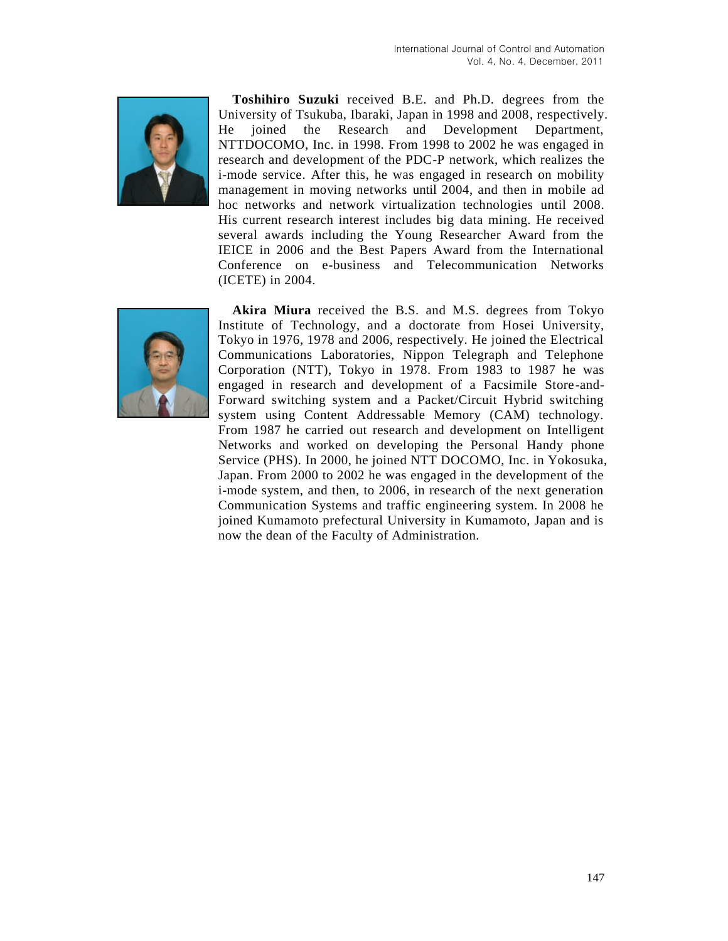

**Toshihiro Suzuki** received B.E. and Ph.D. degrees from the University of Tsukuba, Ibaraki, Japan in 1998 and 2008, respectively. He joined the Research and Development Department, NTTDOCOMO, Inc. in 1998. From 1998 to 2002 he was engaged in research and development of the PDC-P network, which realizes the i-mode service. After this, he was engaged in research on mobility management in moving networks until 2004, and then in mobile ad hoc networks and network virtualization technologies until 2008. His current research interest includes big data mining. He received several awards including the Young Researcher Award from the IEICE in 2006 and the Best Papers Award from the International Conference on e-business and Telecommunication Networks (ICETE) in 2004.



**Akira Miura** received the B.S. and M.S. degrees from Tokyo Institute of Technology, and a doctorate from Hosei University, Tokyo in 1976, 1978 and 2006, respectively. He joined the Electrical Communications Laboratories, Nippon Telegraph and Telephone Corporation (NTT), Tokyo in 1978. From 1983 to 1987 he was engaged in research and development of a Facsimile Store-and-Forward switching system and a Packet/Circuit Hybrid switching system using Content Addressable Memory (CAM) technology. From 1987 he carried out research and development on Intelligent Networks and worked on developing the Personal Handy phone Service (PHS). In 2000, he joined NTT DOCOMO, Inc. in Yokosuka, Japan. From 2000 to 2002 he was engaged in the development of the i-mode system, and then, to 2006, in research of the next generation Communication Systems and traffic engineering system. In 2008 he joined Kumamoto prefectural University in Kumamoto, Japan and is now the dean of the Faculty of Administration.